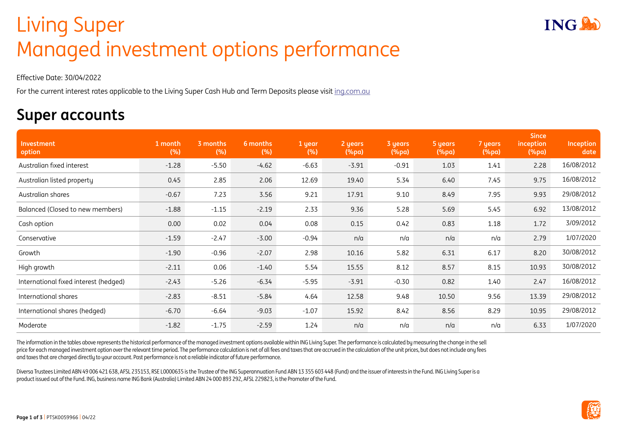## Living Super Living Super Managed investment options performance

Effective Date: 30/04/2022

For the current interest rates applicable to the Living Super Cash Hub and Term Deposits please visit [ing.com.au](http://ing.com.au)

## **Super accounts**

| Investment<br>option                  | 1 month<br>(%) | 3 months<br>(%) | 6 months<br>(%) | 1 year<br>(%) | 2 years<br>$(\%pa)$ | 3 years<br>(%pa) | 5 years<br>(%pa) | 7 years<br>$(\%pa)$ | <b>Since</b><br>inception<br>$(\%pa)$ | Inception<br>date |
|---------------------------------------|----------------|-----------------|-----------------|---------------|---------------------|------------------|------------------|---------------------|---------------------------------------|-------------------|
| Australian fixed interest             | $-1.28$        | $-5.50$         | $-4.62$         | $-6.63$       | $-3.91$             | $-0.91$          | 1.03             | 1.41                | 2.28                                  | 16/08/2012        |
| Australian listed property            | 0.45           | 2.85            | 2.06            | 12.69         | 19.40               | 5.34             | 6.40             | 7.45                | 9.75                                  | 16/08/2012        |
| Australian shares                     | $-0.67$        | 7.23            | 3.56            | 9.21          | 17.91               | 9.10             | 8.49             | 7.95                | 9.93                                  | 29/08/2012        |
| Balanced (Closed to new members)      | $-1.88$        | $-1.15$         | $-2.19$         | 2.33          | 9.36                | 5.28             | 5.69             | 5.45                | 6.92                                  | 13/08/2012        |
| Cash option                           | 0.00           | 0.02            | 0.04            | 0.08          | 0.15                | 0.42             | 0.83             | 1.18                | 1.72                                  | 3/09/2012         |
| Conservative                          | $-1.59$        | $-2.47$         | $-3.00$         | $-0.94$       | n/a                 | n/a              | n/a              | n/a                 | 2.79                                  | 1/07/2020         |
| Growth                                | $-1.90$        | $-0.96$         | $-2.07$         | 2.98          | 10.16               | 5.82             | 6.31             | 6.17                | 8.20                                  | 30/08/2012        |
| High growth                           | $-2.11$        | 0.06            | $-1.40$         | 5.54          | 15.55               | 8.12             | 8.57             | 8.15                | 10.93                                 | 30/08/2012        |
| International fixed interest (hedged) | $-2.43$        | $-5.26$         | $-6.34$         | $-5.95$       | $-3.91$             | $-0.30$          | 0.82             | 1.40                | 2.47                                  | 16/08/2012        |
| International shares                  | $-2.83$        | $-8.51$         | $-5.84$         | 4.64          | 12.58               | 9.48             | 10.50            | 9.56                | 13.39                                 | 29/08/2012        |
| International shares (hedged)         | $-6.70$        | $-6.64$         | $-9.03$         | $-1.07$       | 15.92               | 8.42             | 8.56             | 8.29                | 10.95                                 | 29/08/2012        |
| Moderate                              | $-1.82$        | $-1.75$         | $-2.59$         | 1.24          | n/a                 | n/a              | n/a              | n/a                 | 6.33                                  | 1/07/2020         |

The information in the tables above represents the historical performance of the managed investment options available within ING Living Super. The performance is calculated by measuring the change in the sell price for each managed investment option over the relevant time period. The performance calculation is net of all fees and taxes that are accrued in the calculation of the unit prices, but does not include any fees and taxes that are charged directly to your account. Past performance is not a reliable indicator of future performance.

Diversa Trustees Limited ABN 49 006 421 638, AFSL 235153, RSE L0000635 is the Trustee of the ING Superannuation Fund ABN 13 355 603 448 (Fund) and the issuer of interests in the Fund. ING Living Super is a product issued out of the Fund. ING, business name ING Bank (Australia) Limited ABN 24 000 893 292, AFSL 229823, is the Promoter of the Fund.



**ING!**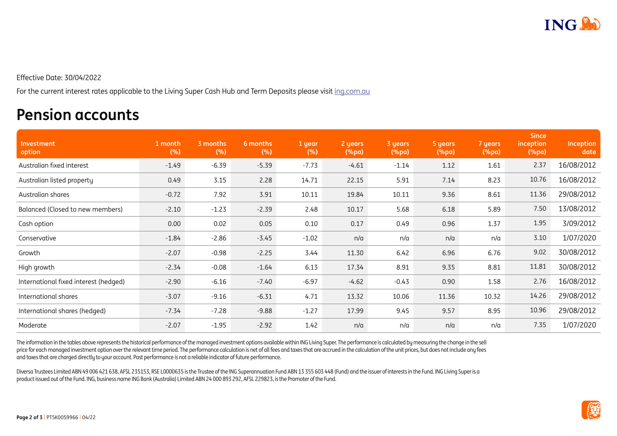

Effective Date: 30/04/2022

For the current interest rates applicable to the Living Super Cash Hub and Term Deposits please visit [ing.com.au](http://ing.com.au)

## **Pension accounts**

| Investment<br>option                  | 1 month<br>(%) | 3 months<br>(%) | 6 months<br>(%) | 1 year<br>(%) | 2 years<br>$(\%pa)$ | 3 years<br>(%pa) | 5 years<br>$(\%pa)$ | 7 years<br>$(\%pa)$ | <b>Since</b><br>inception<br>$(\%pa)$ | Inception<br>date |
|---------------------------------------|----------------|-----------------|-----------------|---------------|---------------------|------------------|---------------------|---------------------|---------------------------------------|-------------------|
| Australian fixed interest             | $-1.49$        | $-6.39$         | $-5.39$         | $-7.73$       | $-4.61$             | $-1.14$          | 1.12                | 1.61                | 2.37                                  | 16/08/2012        |
| Australian listed property            | 0.49           | 3.15            | 2.28            | 14.71         | 22.15               | 5.91             | 7.14                | 8.23                | 10.76                                 | 16/08/2012        |
| Australian shares                     | $-0.72$        | 7.92            | 3.91            | 10.11         | 19.84               | 10.11            | 9.36                | 8.61                | 11.36                                 | 29/08/2012        |
| Balanced (Closed to new members)      | $-2.10$        | $-1.23$         | $-2.39$         | 2.48          | 10.17               | 5.68             | 6.18                | 5.89                | 7.50                                  | 13/08/2012        |
| Cash option                           | 0.00           | 0.02            | 0.05            | 0.10          | 0.17                | 0.49             | 0.96                | 1.37                | 1.95                                  | 3/09/2012         |
| Conservative                          | $-1.84$        | $-2.86$         | $-3.45$         | $-1.02$       | n/a                 | n/a              | n/a                 | n/a                 | 3.10                                  | 1/07/2020         |
| Growth                                | $-2.07$        | $-0.98$         | $-2.25$         | 3.44          | 11.30               | 6.42             | 6.96                | 6.76                | 9.02                                  | 30/08/2012        |
| High growth                           | $-2.34$        | $-0.08$         | $-1.64$         | 6.13          | 17.34               | 8.91             | 9.35                | 8.81                | 11.81                                 | 30/08/2012        |
| International fixed interest (hedged) | $-2.90$        | $-6.16$         | $-7.40$         | $-6.97$       | $-4.62$             | $-0.43$          | 0.90                | 1.58                | 2.76                                  | 16/08/2012        |
| International shares                  | $-3.07$        | $-9.16$         | $-6.31$         | 4.71          | 13.32               | 10.06            | 11.36               | 10.32               | 14.26                                 | 29/08/2012        |
| International shares (hedged)         | $-7.34$        | $-7.28$         | $-9.88$         | $-1.27$       | 17.99               | 9.45             | 9.57                | 8.95                | 10.96                                 | 29/08/2012        |
| Moderate                              | $-2.07$        | $-1.95$         | $-2.92$         | 1.42          | n/a                 | n/a              | n/a                 | n/a                 | 7.35                                  | 1/07/2020         |

The information in the tables above represents the historical performance of the managed investment options available within ING Living Super. The performance is calculated by measuring the change in the sell price for each managed investment option over the relevant time period. The performance calculation is net of all fees and taxes that are accrued in the calculation of the unit prices, but does not include any fees and taxes that are charged directly to your account. Past performance is not a reliable indicator of future performance.

Diversa Trustees Limited ABN 49 006 421 638, AFSL 235153, RSE L0000635 is the Trustee of the ING Superannuation Fund ABN 13 355 603 448 (Fund) and the issuer of interests in the Fund. ING Living Super is a product issued out of the Fund. ING, business name ING Bank (Australia) Limited ABN 24 000 893 292, AFSL 229823, is the Promoter of the Fund.